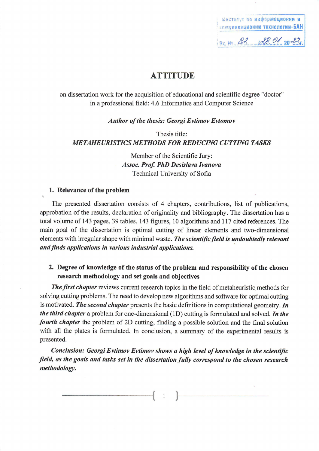инстатут по информационни и **КОМУНИКАЦИОННИ ТЕХНОЛОГИИ-БАН** Bx. No. 82 de 01 2023

## **ATTITUDE**

on dissertation work for the acquisition of educational and scientific degree "doctor" in a professional field: 4.6 Informatics and Computer Science

**Author of the thesis: Georgi Evtimov Evtomov** 

Thesis title: **METAHEURISTICS METHODS FOR REDUCING CUTTING TASKS** 

> Member of the Scientific Jury: **Assoc. Prof. PhD Desislava Ivanova** Technical University of Sofia

#### 1. Relevance of the problem

The presented dissertation consists of 4 chapters, contributions, list of publications, approbation of the results, declaration of originality and bibliography. The dissertation has a total volume of 143 pages, 39 tables, 143 figures, 10 algorithms and 117 cited references. The main goal of the dissertation is optimal cutting of linear elements and two-dimensional elements with irregular shape with minimal waste. The scientific field is undoubtedly relevant and finds applications in various industrial applications.

#### 2. Degree of knowledge of the status of the problem and responsibility of the chosen research methodology and set goals and objectives

**The first chapter** reviews current research topics in the field of metaheuristic methods for solving cutting problems. The need to develop new algorithms and software for optimal cutting is motivated. The second chapter presents the basic definitions in computational geometry. In the third chapter a problem for one-dimensional (1D) cutting is formulated and solved. In the *fourth chapter* the problem of 2D cutting, finding a possible solution and the final solution with all the plates is formulated. In conclusion, a summary of the experimental results is presented.

Conclusion: Georgi Evtimov Evtimov shows a high level of knowledge in the scientific field, as the goals and tasks set in the dissertation fully correspond to the chosen research methodology.

 $\overline{1}$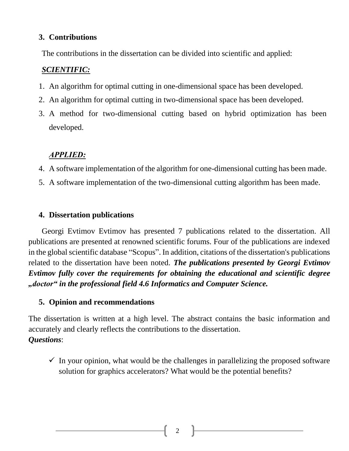#### **3. Contributions**

The contributions in the dissertation can be divided into scientific and applied:

### *SCIENTIFIC:*

- 1. An algorithm for optimal cutting in one-dimensional space has been developed.
- 2. An algorithm for optimal cutting in two-dimensional space has been developed.
- 3. A method for two-dimensional cutting based on hybrid optimization has been developed.

# *АPPLIED:*

- 4. A software implementation of the algorithm for one-dimensional cutting has been made.
- 5. A software implementation of the two-dimensional cutting algorithm has been made.

#### **4. Dissertation publications**

Georgi Evtimov Evtimov has presented 7 publications related to the dissertation. All publications are presented at renowned scientific forums. Four of the publications are indexed in the global scientific database "Scopus". In addition, citations of the dissertation's publications related to the dissertation have been noted. *The publications presented by Georgi Evtimov Evtimov fully cover the requirements for obtaining the educational and scientific degree "doctor" in the professional field 4.6 Informatics and Computer Science.*

## **5. Opinion and recommendations**

The dissertation is written at a high level. The abstract contains the basic information and accurately and clearly reflects the contributions to the dissertation. *Questions*:

 $\checkmark$  In your opinion, what would be the challenges in parallelizing the proposed software solution for graphics accelerators? What would be the potential benefits?

2